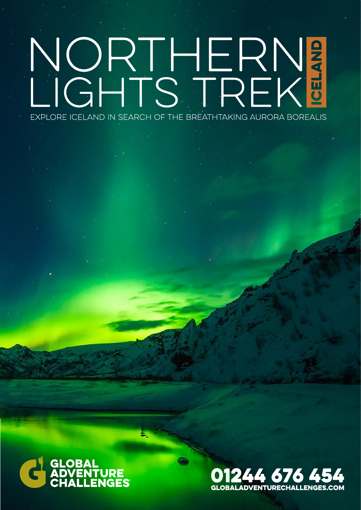# NORTHERN<mark>3</mark> EXPLORE ICELAND IN SEARCH OF THE BREATHTAKING AURORA BOREALIS



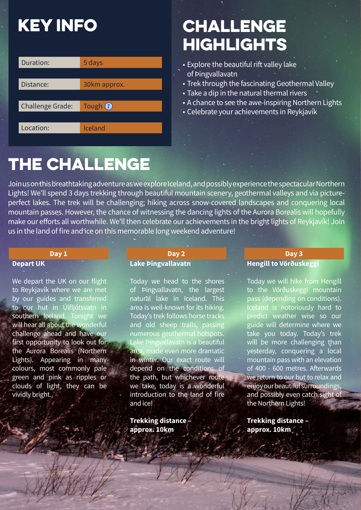### **KEY INFO**

| Duration:               | 5 days       |
|-------------------------|--------------|
|                         |              |
| Distance:               | 30km approx. |
|                         |              |
| <b>Challenge Grade:</b> | Tough 2      |
|                         |              |
| Location:               | Iceland      |

### challenge **HIGHLIGHTS**

- Explore the beautiful rift valley lake of Þingvallavatn
- Trek through the fascinating Geothermal Valley
- Take a dip in the natural thermal rivers
- A chance to see the awe-inspiring Northern Lights
- Celebrate your achievements in Reykjavík

### the challenge

Join us on this breathtaking adventure as we explore Iceland, and possibly experience the spectacular Northern Lights! We'll spend 3 days trekking through beautiful mountain scenery, geothermal valleys and via pictureperfect lakes. The trek will be challenging; hiking across snow-covered landscapes and conquering local mountain passes. However, the chance of witnessing the dancing lights of the Aurora Borealis will hopefully make our efforts all worthwhile. We'll then celebrate our achievements in the bright lights of Reykjavík! Join us in the land of fire and ice on this memorable long weekend adventure!

#### **Depart UK**

We depart the UK on our flight to Reykjavík where we are met by our guides and transferred to our hut in Úlfljótsvatn in southern Iceland. Tonight we will hear all about the wonderful challenge ahead and have our first opportunity to look out for the Aurora Borealis (Northern Lights). Appearing in many colours, most commonly pale green and pink as ripples or clouds of light, they can be vividly bright.

#### **Day 1 Day 1 Day 2 Lake Þingvallavatn**

Today we head to the shores of Þingvallavatn, the largest natural lake in Iceland. This area is well-known for its hiking. Today's trek follows horse tracks and old sheep trails, passing numerous geothermal hotspots. Lake Þingvallavatn is a beautiful area, made even more dramatic in winter. Our exact route will depend on the conditions of the path, but whichever route we take, today is a wonderful introduction to the land of fire and ice!

**Trekking distance – approx. 10km**

#### **Hengill to Vörðuskeggi Day 3**

Today we will hike from Hengill to the Vörðuskeggi mountain pass (depending on conditions). Iceland is notoriously hard to predict weather wise so our guide will determine where we take you today. Today's trek will be more challenging than yesterday, conquering a local mountain pass with an elevation of 400 - 600 metres. Afterwards we return to our hut to relax and enjoy our beautiful surroundings, and possibly even catch sight of the Northern Lights!

**Trekking distance – approx. 10km**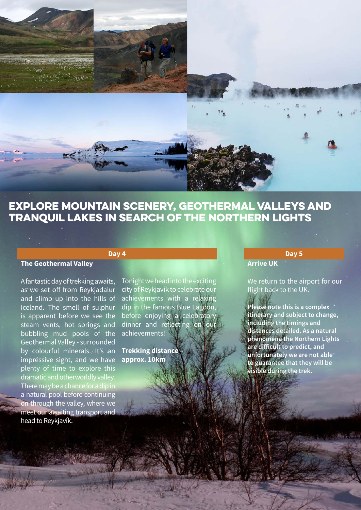

### explore mountain scenery, geothermal valleys and tranquil lakes in search of the northern lights

#### **The Geothermal Valley**

A fantastic day of trekking awaits, as we set off from Reykjadalur and climb up into the hills of Iceland. The smell of sulphur is apparent before we see the steam vents, hot springs and bubbling mud pools of the Geothermal Valley - surrounded by colourful minerals. It's an impressive sight, and we have plenty of time to explore this dramatic and otherworldly valley. There may be a chance for a dip in a natural pool before continuing on through the valley, where we meet our awaiting transport and head to Reykjavík.

### **Day 4**

Tonight we head into the exciting city of Reykjavík to celebrate our achievements with a relaxing dip in the famous Blue Lagoon, before enjoying a celebratory dinner and reflecting on our achievements!

**Trekking distance – approx. 10km**

#### **Arrive UK**

We return to the airport for our flight back to the UK.

**Day 5**

**Please note this is a complex itinerary and subject to change, including the timings and distances detailed. As a natural phenomena the Northern Lights are difficult to predict, and unfortunately we are not able to guarantee that they will be visible during the trek.**